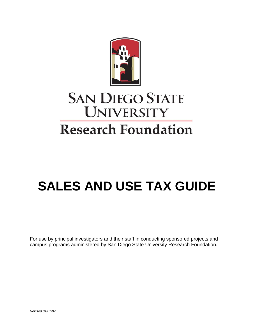

# **SAN DIEGO STATE UNIVERSITY Research Foundation**

# **SALES AND USE TAX GUIDE**

For use by principal investigators and their staff in conducting sponsored projects and campus programs administered by San Diego State University Research Foundation.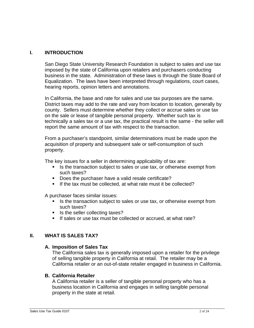## **I. INTRODUCTION**

San Diego State University Research Foundation is subject to sales and use tax imposed by the state of California upon retailers and purchasers conducting business in the state. Administration of these laws is through the State Board of Equalization. The laws have been interpreted through regulations, court cases, hearing reports, opinion letters and annotations.

In California, the base and rate for sales and use tax purposes are the same. District taxes may add to the rate and vary from location to location, generally by county. Sellers must determine whether they collect or accrue sales or use tax on the sale or lease of tangible personal property. Whether such tax is technically a sales tax or a use tax, the practical result is the same - the seller will report the same amount of tax with respect to the transaction.

From a purchaser's standpoint, similar determinations must be made upon the acquisition of property and subsequent sale or self-consumption of such property.

The key issues for a seller in determining applicability of tax are:

- If Is the transaction subject to sales or use tax, or otherwise exempt from such taxes?
- Does the purchaser have a valid resale certificate?
- If the tax must be collected, at what rate must it be collected?

A purchaser faces similar issues:

- Is the transaction subject to sales or use tax, or otherwise exempt from such taxes?
- Is the seller collecting taxes?
- If sales or use tax must be collected or accrued, at what rate?

#### **II. WHAT IS SALES TAX?**

#### **A. Imposition of Sales Tax**

The California sales tax is generally imposed upon a retailer for the privilege of selling tangible property in California at retail. The retailer may be a California retailer or an out-of-state retailer engaged in business in California.

#### **B. California Retailer**

A California retailer is a seller of tangible personal property who has a business location in California and engages in selling tangible personal property in the state at retail.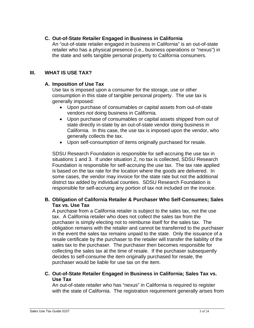## **C. Out-of-State Retailer Engaged in Business in California**

An "out-of-state retailer engaged in business in California" is an out-of-state retailer who has a physical presence (i.e., business operations or "nexus") in the state and sells tangible personal property to California consumers.

#### **III. WHAT IS USE TAX?**

## **A. Imposition of Use Tax**

Use tax is imposed upon a consumer for the storage, use or other consumption in this state of tangible personal property. The use tax is generally imposed:

- Upon purchase of consumables or capital assets from out-of-state vendors *not* doing business in California.
- Upon purchase of consumables or capital assets shipped from out of state directly in-state by an out-of-state vendor doing business in California. In this case, the use tax is imposed upon the vendor, who generally collects the tax.
- Upon self-consumption of items originally purchased for resale.

SDSU Research Foundation is responsible for self-accruing the use tax in situations 1 and 3. If under situation 2, no tax is collected, SDSU Research Foundation is responsible for self-accruing the use tax. The tax rate applied is based on the tax rate for the location where the goods are delivered. In some cases, the vendor may invoice for the state rate but not the additional district tax added by individual counties. SDSU Research Foundation is responsible for self-accruing any portion of tax not included on the invoice.

## **B. Obligation of California Retailer & Purchaser Who Self-Consumes; Sales Tax vs. Use Tax**

A purchase from a California retailer is subject to the sales tax, not the use tax. A California retailer who does not collect the sales tax from the purchaser is simply electing not to reimburse itself for the sales tax. The obligation remains with the retailer and cannot be transferred to the purchaser in the event the sales tax remains unpaid to the state. Only the issuance of a resale certificate by the purchaser to the retailer will transfer the liability of the sales tax to the purchaser. The purchaser then becomes responsible for collecting the sales tax at the time of resale. If the purchaser subsequently decides to self-consume the item originally purchased for resale, the purchaser would be liable for use tax on the item.

#### **C. Out-of-State Retailer Engaged in Business in California; Sales Tax vs. Use Tax**

An out-of-state retailer who has "nexus" in California is required to register with the state of California. The registration requirement generally arises from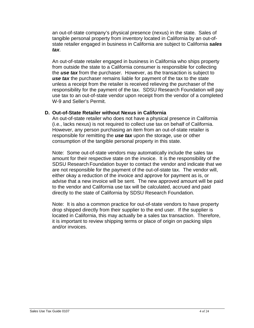an out-of-state company's physical presence (nexus) in the state. Sales of tangible personal property from inventory located in California by an out-ofstate retailer engaged in business in California are subject to California *sales tax*.

An out-of-state retailer engaged in business in California who ships property from outside the state to a California consumer is responsible for collecting the *use tax* from the purchaser. However, as the transaction is subject to *use tax* the purchaser remains liable for payment of the tax to the state unless a receipt from the retailer is received relieving the purchaser of the responsibility for the payment of the tax. SDSU Research Foundation will pay use tax to an out-of-state vendor upon receipt from the vendor of a completed W-9 and Seller's Permit.

## **D. Out-of-State Retailer without Nexus in California**

An out-of-state retailer who does not have a physical presence in California (i.e., lacks nexus) is not required to collect use tax on behalf of California. However, any person purchasing an item from an out-of-state retailer is responsible for remitting the *use tax* upon the storage, use or other consumption of the tangible personal property in this state.

Note: Some out-of-state vendors may automatically include the sales tax amount for their respective state on the invoice. It is the responsibility of the SDSU Research Foundation buyer to contact the vendor and indicate that we are not responsible for the payment of the out-of-state tax. The vendor will, either okay a reduction of the invoice and approve for payment as is, or advise that a new invoice will be sent. The new approved amount will be paid to the vendor and California use tax will be calculated, accrued and paid directly to the state of California by SDSU Research Foundation.

Note: It is also a common practice for out-of-state vendors to have property drop shipped directly from their supplier to the end user. If the supplier is located in California, this may actually be a sales tax transaction. Therefore, it is important to review shipping terms or place of origin on packing slips and/or invoices.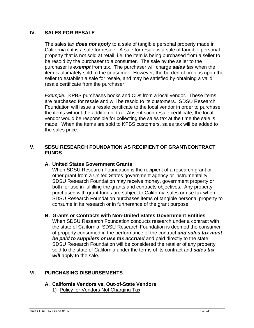## **IV. SALES FOR RESALE**

The sales tax *does not apply* to a sale of tangible personal property made in California if it is a sale for resale. A sale for resale is a sale of tangible personal property that is not sold at retail, i.e. the item is being purchased from a seller to be resold by the purchaser to a consumer. The sale by the seller to the purchaser is *exempt* from tax. The purchaser will charge *sales tax* when the item is ultimately sold to the consumer. However, the burden of proof is upon the seller to establish a sale for resale, and may be satisfied by obtaining a valid resale certificate from the purchaser.

*Example:* KPBS purchases books and CDs from a local vendor. These items are purchased for resale and will be resold to its customers. SDSU Research Foundation will issue a resale certificate to the local vendor in order to purchase the items without the addition of tax. Absent such resale certificate, the local vendor would be responsible for collecting the sales tax at the time the sale is made. When the items are sold to KPBS customers, sales tax will be added to the sales price.

## **V. SDSU RESEARCH FOUNDATION AS RECIPIENT OF GRANT/CONTRACT FUNDS**

#### **A. United States Government Grants**

When SDSU Research Foundation is the recipient of a research grant or other grant from a United States government agency or instrumentality, SDSU Research Foundation may receive money, government property or both for use in fulfilling the grants and contracts objectives. Any property purchased with grant funds are subject to California sales or use tax when SDSU Research Foundation purchases items of tangible personal property to consume in its research or in furtherance of the grant purpose.

#### **B. Grants or Contracts with Non-United States Government Entities**

When SDSU Research Foundation conducts research under a contract with the state of California, SDSU Research Foundation is deemed the consumer of property consumed in the performance of the contract *and sales tax must be paid to suppliers or use tax accrued* and paid directly to the state. SDSU Research Foundation will be considered the retailer of any property sold to the state of California under the terms of its contract and *sales tax will* apply to the sale.

#### **VI. PURCHASING DISBURSEMENTS**

#### **A. California Vendors vs. Out-of-State Vendors**

1) Policy for Vendors Not Charging Tax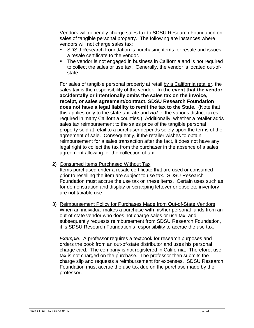Vendors will generally charge sales tax to SDSU Research Foundation on sales of tangible personal property. The following are instances where vendors will not charge sales tax:

- **SDSU Research Foundation is purchasing items for resale and issues** a resale certificate to the vendor.
- The vendor is not engaged in business in California and is not required to collect the sales or use tax. Generally, the vendor is located out-ofstate.

For sales of tangible personal property at retail by a California retailer, the sales tax is the responsibility of the vendor**. In the event that the vendor accidentally or intentionally omits the sales tax on the invoice, receipt, or sales agreement/contract, SDSU Research Foundation does not have a legal liability to remit the tax to the State.** (Note that this applies only to the state tax rate and *not* to the various district taxes required in many California counties.) Additionally, whether a retailer adds sales tax reimbursement to the sales price of the tangible personal property sold at retail to a purchaser depends solely upon the terms of the agreement of sale. Consequently, if the retailer wishes to obtain reimbursement for a sales transaction after the fact, it does not have any legal right to collect the tax from the purchaser in the absence of a sales agreement allowing for the collection of tax.

2) Consumed Items Purchased Without Tax

Items purchased under a resale certificate that are used or consumed prior to reselling the item are subject to use tax. SDSU Research Foundation must accrue the use tax on these items. Certain uses such as for demonstration and display or scrapping leftover or obsolete inventory are not taxable use.

3) Reimbursement Policy for Purchases Made from Out-of-State Vendors When an individual makes a purchase with his/her personal funds from an out-of-state vendor who does not charge sales or use tax, and subsequently requests reimbursement from SDSU Research Foundation, it is SDSU Research Foundation's responsibility to accrue the use tax.

*Example:* A professor requires a textbook for research purposes and orders the book from an out-of-state distributor and uses his personal charge card. The company is not registered in California. Therefore, use tax is not charged on the purchase. The professor then submits the charge slip and requests a reimbursement for expenses. SDSU Research Foundation must accrue the use tax due on the purchase made by the professor.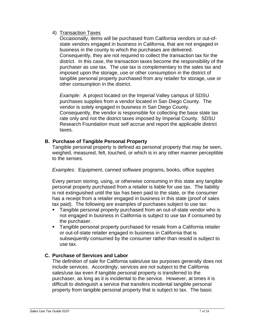## 4) Transaction Taxes

Occasionally, items will be purchased from California vendors or out-ofstate vendors engaged in business in California, that are not engaged in business in the county to which the purchases are delivered. Consequently, they are not required to collect the transaction tax for the district. In this case, the transaction taxes become the responsibility of the purchaser as use tax. The use tax is complementary to the sales tax and imposed upon the storage, use or other consumption in the district of tangible personal property purchased from any retailer for storage, use or other consumption in the district.

*Example:* A project located on the Imperial Valley campus of SDSU purchases supplies from a vendor located in San Diego County. The vendor is solely engaged in business in San Diego County. Consequently, the vendor is responsible for collecting the base state tax rate only and not the district taxes imposed by Imperial County. SDSU Research Foundation must self accrue and report the applicable district taxes.

# **B. Purchase of Tangible Personal Property**

Tangible personal property is defined as personal property that may be seen, weighed, measured, felt, touched, or which is in any other manner perceptible to the senses.

*Examples:* Equipment, canned software programs, books, office supplies

Every person storing, using, or otherwise consuming in this state any tangible personal property purchased from a retailer is liable for use tax. The liability is not extinguished until the tax has been paid to the state, or the consumer has a receipt from a retailer engaged in business in this state (proof of sales tax paid). The following are examples of purchases subject to use tax:

- Tangible personal property purchased from an out-of-state vendor who is not engaged in business in California is subject to use tax if consumed by the purchaser.
- **Tangible personal property purchased for resale from a California retailer** or out-of-state retailer engaged in business in California that is subsequently consumed by the consumer rather than resold is subject to use tax.

# **C. Purchase of Services and Labor**

The definition of sale for California sales/use tax purposes generally does not include services. Accordingly, services are not subject to the California sales/use tax even if tangible personal property is transferred to the purchaser, as long as it is incidental to the service. However, at times it is difficult to distinguish a service that transfers incidental tangible personal property from tangible personal property that is subject to tax. The basic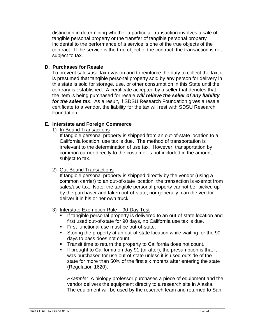distinction in determining whether a particular transaction involves a sale of tangible personal property or the transfer of tangible personal property incidental to the performance of a service is one of the true objects of the contract. If the service is the true object of the contract, the transaction is not subject to tax.

#### **D. Purchases for Resale**

To prevent sales/use tax evasion and to reinforce the duty to collect the tax, it is presumed that tangible personal property sold by any person for delivery in this state is sold for storage, use, or other consumption in this State until the contrary is established. A certificate accepted by a seller that denotes that the item is being purchased for resale *will relieve the seller of any liability for the sales tax*. As a result, if SDSU Research Foundation gives a resale certificate to a vendor, the liability for the tax will rest with SDSU Research Foundation.

## **E. Interstate and Foreign Commerce**

1) In-Bound Transactions

If tangible personal property is shipped from an out-of-state location to a California location, use tax is due. The method of transportation is irrelevant to the determination of use tax. However, transportation by common carrier directly to the customer is not included in the amount subject to tax.

## 2) Out-Bound Transactions

If tangible personal property is shipped directly by the vendor (using a common carrier) to an out-of-state location, the transaction is exempt from sales/use tax. Note: the tangible personal property cannot be "picked up" by the purchaser and taken out-of-state; nor generally, can the vendor deliver it in his or her own truck.

#### 3) Interstate Exemption Rule – 90-Day Test

- If tangible personal property is delivered to an out-of-state location and first used out-of-state for 90 days, no California use tax is due.
- First functional use must be out-of-state.
- Storing the property at an out-of-state location while waiting for the 90 days to pass does not count.
- **Transit time to return the property to California does not count.**
- If brought to California on day 91 (or after), the presumption is that it was purchased for use out-of-state unless it is used outside of the state for more than 50% of the first six months after entering the state (Regulation 1620).

*Example:* A biology professor purchases a piece of equipment and the vendor delivers the equipment directly to a research site in Alaska. The equipment will be used by the research team and returned to San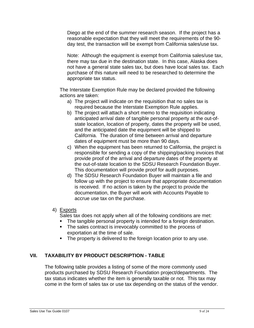Diego at the end of the summer research season. If the project has a reasonable expectation that they will meet the requirements of the 90 day test, the transaction will be exempt from California sales/use tax.

Note: Although the equipment is exempt from California sales/use tax, there may tax due in the destination state. In this case, Alaska does not have a general state sales tax, but does have local sales tax. Each purchase of this nature will need to be researched to determine the appropriate tax status.

The Interstate Exemption Rule may be declared provided the following actions are taken:

- a) The project will indicate on the requisition that no sales tax is required because the Interstate Exemption Rule applies.
- b) The project will attach a short memo to the requisition indicating anticipated arrival date of tangible personal property at the out-ofstate location, location of property, dates the property will be used, and the anticipated date the equipment will be shipped to California. The duration of time between arrival and departure dates of equipment must be more than 90 days.
- c) When the equipment has been returned to California, the project is responsible for sending a copy of the shipping/packing invoices that provide proof of the arrival and departure dates of the property at the out-of-state location to the SDSU Research Foundation Buyer. This documentation will provide proof for audit purposes.
- d) The SDSU Research Foundation Buyer will maintain a file and follow up with the project to ensure that appropriate documentation is received. If no action is taken by the project to provide the documentation, the Buyer will work with Accounts Payable to accrue use tax on the purchase.

## 4) Exports

Sales tax does not apply when all of the following conditions are met:

- The tangible personal property is intended for a foreign destination.
- The sales contract is irrevocably committed to the process of exportation at the time of sale.
- The property is delivered to the foreign location prior to any use.

# **VII. TAXABILITY BY PRODUCT DESCRIPTION - TABLE**

The following table provides a listing of some of the more commonly used products purchased by SDSU Research Foundation project/departments. The tax status indicates whether the item is generally taxable or not. This tax may come in the form of sales tax or use tax depending on the status of the vendor.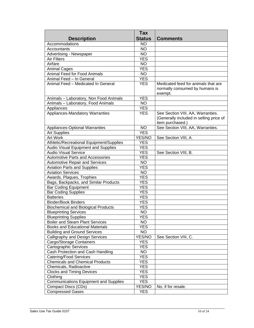| <b>Status</b><br><b>Description</b><br><b>Comments</b><br>Accommodations<br><b>NO</b><br><b>NO</b><br>Accountants<br>Advertising - Newspaper<br><b>NO</b><br><b>YES</b><br><b>Air Filters</b><br><b>NO</b><br>Airfare<br><b>YES</b><br><b>Animal Cages</b><br><b>Animal Feed for Food Animals</b><br><b>NO</b><br>Animal Feed - In General<br><b>YES</b> |
|----------------------------------------------------------------------------------------------------------------------------------------------------------------------------------------------------------------------------------------------------------------------------------------------------------------------------------------------------------|
|                                                                                                                                                                                                                                                                                                                                                          |
|                                                                                                                                                                                                                                                                                                                                                          |
|                                                                                                                                                                                                                                                                                                                                                          |
|                                                                                                                                                                                                                                                                                                                                                          |
|                                                                                                                                                                                                                                                                                                                                                          |
|                                                                                                                                                                                                                                                                                                                                                          |
|                                                                                                                                                                                                                                                                                                                                                          |
|                                                                                                                                                                                                                                                                                                                                                          |
|                                                                                                                                                                                                                                                                                                                                                          |
| Animal Feed - Medicated In General<br>Medicated feed for animals that are<br><b>YES</b>                                                                                                                                                                                                                                                                  |
| normally consumed by humans is                                                                                                                                                                                                                                                                                                                           |
| exempt.                                                                                                                                                                                                                                                                                                                                                  |
| <b>YES</b><br>Animals - Laboratory, Non Food Animals                                                                                                                                                                                                                                                                                                     |
| Animals - Laboratory, Food Animals<br><b>NO</b>                                                                                                                                                                                                                                                                                                          |
| <b>YES</b><br>Appliances                                                                                                                                                                                                                                                                                                                                 |
| Appliances-Mandatory Warranties<br>See Section VIII, AA, Warranties.<br><b>YES</b>                                                                                                                                                                                                                                                                       |
| (Generally included in selling price of                                                                                                                                                                                                                                                                                                                  |
| item purchased.)                                                                                                                                                                                                                                                                                                                                         |
| See Section VIII, AA, Warranties.<br><b>NO</b><br>Appliances-Optional Warranties                                                                                                                                                                                                                                                                         |
| <b>YES</b><br><b>Art Supplies</b>                                                                                                                                                                                                                                                                                                                        |
| Art Work<br>YES/NO<br>See Section VIII, A.                                                                                                                                                                                                                                                                                                               |
| Athletic/Recreational Equipment/Supplies<br><b>YES</b>                                                                                                                                                                                                                                                                                                   |
| Audio Visual Equipment and Supplies<br><b>YES</b>                                                                                                                                                                                                                                                                                                        |
| <b>Audio Visual Service</b><br><b>YES</b><br>See Section VIII, B.                                                                                                                                                                                                                                                                                        |
| <b>Automotive Parts and Accessories</b><br><b>YES</b>                                                                                                                                                                                                                                                                                                    |
| <b>NO</b><br><b>Automotive Repair and Services</b>                                                                                                                                                                                                                                                                                                       |
| <b>YES</b><br><b>Aviation Parts and Supplies</b>                                                                                                                                                                                                                                                                                                         |
| <b>Aviation Services</b><br><b>NO</b>                                                                                                                                                                                                                                                                                                                    |
| Awards, Plaques, Trophies<br><b>YES</b>                                                                                                                                                                                                                                                                                                                  |
| Bags, Backpacks, and Similar Products<br><b>YES</b>                                                                                                                                                                                                                                                                                                      |
| <b>YES</b><br><b>Bar Coding Equipment</b>                                                                                                                                                                                                                                                                                                                |
| <b>Bar Coding Supplies</b><br><b>YES</b>                                                                                                                                                                                                                                                                                                                 |
| <b>Batteries</b><br><b>YES</b>                                                                                                                                                                                                                                                                                                                           |
| <b>Binder/Book Binders</b><br><b>YES</b>                                                                                                                                                                                                                                                                                                                 |
| <b>Biochemical and Biological Products</b><br><b>YES</b>                                                                                                                                                                                                                                                                                                 |
| <b>NO</b><br><b>Blueprinting Services</b>                                                                                                                                                                                                                                                                                                                |
| <b>Blueprinting Supplies</b><br>YES                                                                                                                                                                                                                                                                                                                      |
| <b>Boiler and Steam Plant Services</b><br>NO.                                                                                                                                                                                                                                                                                                            |
| <b>Books and Educational Materials</b><br><b>YES</b>                                                                                                                                                                                                                                                                                                     |
| <b>Building and Ground Services</b><br><b>NO</b>                                                                                                                                                                                                                                                                                                         |
| Calligraphy and Design Services<br>YES/NO<br>See Section VIII, C.                                                                                                                                                                                                                                                                                        |
| Cargo/Storage Containers<br><b>YES</b>                                                                                                                                                                                                                                                                                                                   |
| <b>Cartographic Services</b><br><b>YES</b>                                                                                                                                                                                                                                                                                                               |
| Cash Protection and Cash Handling<br>NO                                                                                                                                                                                                                                                                                                                  |
| <b>Catering/Food Services</b><br><b>YES</b>                                                                                                                                                                                                                                                                                                              |
| <b>Chemicals and Chemical Products</b><br><b>YES</b>                                                                                                                                                                                                                                                                                                     |
| Chemicals, Radioactive<br><b>YES</b>                                                                                                                                                                                                                                                                                                                     |
| <b>Clocks and Timing Devices</b><br><b>YES</b>                                                                                                                                                                                                                                                                                                           |
| Clothing<br><b>YES</b>                                                                                                                                                                                                                                                                                                                                   |
| <b>Communications Equipment and Supplies</b><br><b>YES</b>                                                                                                                                                                                                                                                                                               |
| <b>Compact Discs (CDs)</b><br>YES/NO<br>No, if for resale.                                                                                                                                                                                                                                                                                               |
| <b>Compressed Gases</b><br><b>YES</b>                                                                                                                                                                                                                                                                                                                    |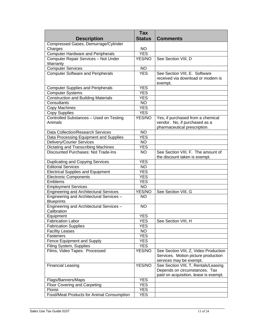|                                                                | <b>Tax</b>               |                                       |
|----------------------------------------------------------------|--------------------------|---------------------------------------|
| <b>Description</b>                                             | <b>Status</b>            | <b>Comments</b>                       |
| Compressed Gases, Demurrage/Cylinder                           |                          |                                       |
| Charges                                                        | <b>NO</b>                |                                       |
| <b>Computer Hardware and Peripherals</b>                       | <b>YES</b>               |                                       |
| Computer Repair Services - Not Under                           | YES/NO                   | See Section VIII, D                   |
| Warranty                                                       |                          |                                       |
| <b>Computer Services</b>                                       | <b>NO</b>                |                                       |
| <b>Computer Software and Peripherals</b>                       | <b>YES</b>               | See Section VIII, E. Software         |
|                                                                |                          | received via download or modem is     |
|                                                                |                          | exempt.                               |
| <b>Computer Supplies and Peripherals</b>                       | <b>YES</b>               |                                       |
| Computer Systems<br><b>Construction and Building Materials</b> | <b>YES</b><br><b>YES</b> |                                       |
| Consultants                                                    | <b>NO</b>                |                                       |
| Copy Machines                                                  | <b>YES</b>               |                                       |
| <b>Copy Supplies</b>                                           | <b>YES</b>               |                                       |
| Controlled Substances - Used on Testing                        | YES/NO                   | Yes, if purchased from a chemical     |
| Animals                                                        |                          | vendor. No, if purchased as a         |
|                                                                |                          | pharmaceutical prescription.          |
| Data Collection/Research Services                              | <b>NO</b>                |                                       |
| Data Processing Equipment and Supplies                         | <b>YES</b>               |                                       |
| Delivery/Courier Services                                      | <b>NO</b>                |                                       |
| Dictating and Transcribing Machines                            | <b>YES</b>               |                                       |
| <b>Discounted Purchases: Not Trade-Ins</b>                     | <b>NO</b>                | See Section VIII, F. The amount of    |
|                                                                |                          | the discount taken is exempt.         |
| Duplicating and Copying Services                               | <b>YES</b>               |                                       |
| <b>Editorial Services</b>                                      | <b>NO</b>                |                                       |
| <b>Electrical Supplies and Equipment</b>                       | <b>YES</b>               |                                       |
| <b>Electronic Components</b>                                   | <b>YES</b>               |                                       |
| Emblems                                                        | <b>YES</b>               |                                       |
| <b>Employment Services</b>                                     | <b>NO</b>                |                                       |
| <b>Engineering and Architectural Services</b>                  | YES/NO                   | See Section VIII, G                   |
| Engineering and Architectural Services -                       | <b>NO</b>                |                                       |
| <b>Blueprints</b>                                              |                          |                                       |
| Engineering and Architectural Services -                       | <b>NO</b>                |                                       |
| Calibration                                                    |                          |                                       |
| Equipment                                                      | <b>YES</b>               |                                       |
| <b>Fabrication Labor</b>                                       | <b>YES</b>               | See Section VIII, H                   |
| <b>Fabrication Supplies</b>                                    | <b>YES</b>               |                                       |
| <b>Facility Leases</b>                                         | <b>NO</b>                |                                       |
| Fasteners                                                      | <b>YES</b>               |                                       |
| Fence Equipment and Supply                                     | <b>YES</b>               |                                       |
| Filing System, Supplies<br>Films, Video Tapes: Processed       | <b>YES</b><br>YES/NO     | See Section VIII, Z, Video Production |
|                                                                |                          | Services. Motion picture production   |
|                                                                |                          | services may be exempt.               |
| <b>Financial Leasing</b>                                       | YES/NO                   | See Section VIII, T, Rentals/Leasing. |
|                                                                |                          | Depends on circumstances. Tax         |
|                                                                |                          | paid on acquisition, lease is exempt. |
| Flags/Banners/Maps                                             | <b>YES</b>               |                                       |
| <b>Floor Covering and Carpeting</b>                            | <b>YES</b>               |                                       |
| Florist                                                        | <b>YES</b>               |                                       |
| Food/Meat Products for Animal Consumption                      | <b>YES</b>               |                                       |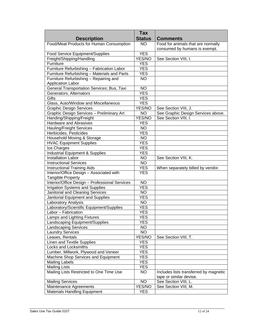| <b>Status</b><br><b>Description</b><br><b>Comments</b><br>Food/Meat Products for Human Consumption<br>Food for animals that are normally<br><b>NO</b><br>consumed by humans is exempt.<br><b>YES</b><br>Food Service Equipment/Supplies<br>Freight/Shipping/Handling<br>YES/NO<br>See Section VIII, I.<br><b>YES</b><br>Furniture<br><b>YES</b><br>Furniture Refurbishing - Fabrication Labor<br>Furniture Refurbishing - Materials and Parts<br><b>YES</b><br>Furniture Refurbishing - Repairing and<br><b>NO</b><br><b>Application Labor</b><br>General Transportation Services; Bus, Taxi<br><b>NO</b><br><b>YES</b><br>Generators, Alternators<br>Gifts<br><b>YES</b><br>Glass, Auto/Window and Miscellaneous<br><b>YES</b><br><b>Graphic Design Services</b><br>YES/NO<br>See Section VIII, J.<br>See Graphic Design Services above.<br>Graphic Design Services - Preliminary Art<br><b>NO</b><br>See Section VIII, I.<br>YES/NO<br>Handing/Shipping/Freight<br>Hardware and Abrasives<br><b>YES</b><br><b>Hauling/Freight Services</b><br><b>NO</b><br><b>YES</b><br>Herbicides, Pesticides<br>Household Moving & Storage<br><b>NO</b><br><b>YES</b><br><b>HVAC Equipment Supplies</b><br>Ice Charges<br><b>YES</b><br><b>Industrial Equipment &amp; Supplies</b><br><b>YES</b><br><b>Installation Labor</b><br>$N\overline{O}$<br>See Section VIII, K.<br><b>NO</b><br><b>Instructional Services</b><br><b>YES</b><br><b>Instructional Training Aids</b><br>When separately billed by vendor.<br>Interior/Office Design - Associated with<br><b>YES</b><br><b>Tangible Property</b><br>Interior/Office Design - Professional Services<br><b>NO</b><br><b>Irrigation Systems and Supplies</b><br><b>YES</b><br>Janitorial and Cleaning Services<br><b>NO</b><br>Janitorial Equipment and Supplies<br><b>YES</b><br>Laboratory Analysis<br><b>NO</b><br>Laboratory/Scientific Equipment/Supplies<br><b>YES</b><br>Labor - Fabrication<br><b>YES</b><br>Lamps and Lighting Fixtures<br>YES<br>Landscaping Equipment/Supplies<br><b>YES</b><br><b>Landscaping Services</b><br>NO.<br><b>NO</b><br><b>Laundry Services</b><br>Leases, Rentals<br>YES/NO<br>See Section VIII, T.<br>Linen and Textile Supplies<br><b>YES</b><br>Locks and Locksmiths<br><b>YES</b><br>Lumber, Millwork, Plywood and Veneer<br><b>YES</b><br>Machine Shop Services and Equipment<br><b>YES</b><br><b>Mailing Labels</b><br><b>YES</b><br><b>Mailing Lists</b><br><b>YES</b><br>Mailing Lists Restricted to One Time Use<br><b>NO</b><br>Includes lists transferred by magnetic<br>tape or similar devise.<br><b>NO</b><br>See Section VIII, L.<br><b>Mailing Services</b><br>Maintenance Agreements<br>YES/NO<br>See Section VIII, M. |                                     | <b>Tax</b> |  |
|-----------------------------------------------------------------------------------------------------------------------------------------------------------------------------------------------------------------------------------------------------------------------------------------------------------------------------------------------------------------------------------------------------------------------------------------------------------------------------------------------------------------------------------------------------------------------------------------------------------------------------------------------------------------------------------------------------------------------------------------------------------------------------------------------------------------------------------------------------------------------------------------------------------------------------------------------------------------------------------------------------------------------------------------------------------------------------------------------------------------------------------------------------------------------------------------------------------------------------------------------------------------------------------------------------------------------------------------------------------------------------------------------------------------------------------------------------------------------------------------------------------------------------------------------------------------------------------------------------------------------------------------------------------------------------------------------------------------------------------------------------------------------------------------------------------------------------------------------------------------------------------------------------------------------------------------------------------------------------------------------------------------------------------------------------------------------------------------------------------------------------------------------------------------------------------------------------------------------------------------------------------------------------------------------------------------------------------------------------------------------------------------------------------------------------------------------------------------------------------------------------------------------------------------------------------------------------------------------------------------------------------------------------------------------------------------------------------------------|-------------------------------------|------------|--|
|                                                                                                                                                                                                                                                                                                                                                                                                                                                                                                                                                                                                                                                                                                                                                                                                                                                                                                                                                                                                                                                                                                                                                                                                                                                                                                                                                                                                                                                                                                                                                                                                                                                                                                                                                                                                                                                                                                                                                                                                                                                                                                                                                                                                                                                                                                                                                                                                                                                                                                                                                                                                                                                                                                                       |                                     |            |  |
|                                                                                                                                                                                                                                                                                                                                                                                                                                                                                                                                                                                                                                                                                                                                                                                                                                                                                                                                                                                                                                                                                                                                                                                                                                                                                                                                                                                                                                                                                                                                                                                                                                                                                                                                                                                                                                                                                                                                                                                                                                                                                                                                                                                                                                                                                                                                                                                                                                                                                                                                                                                                                                                                                                                       |                                     |            |  |
|                                                                                                                                                                                                                                                                                                                                                                                                                                                                                                                                                                                                                                                                                                                                                                                                                                                                                                                                                                                                                                                                                                                                                                                                                                                                                                                                                                                                                                                                                                                                                                                                                                                                                                                                                                                                                                                                                                                                                                                                                                                                                                                                                                                                                                                                                                                                                                                                                                                                                                                                                                                                                                                                                                                       |                                     |            |  |
|                                                                                                                                                                                                                                                                                                                                                                                                                                                                                                                                                                                                                                                                                                                                                                                                                                                                                                                                                                                                                                                                                                                                                                                                                                                                                                                                                                                                                                                                                                                                                                                                                                                                                                                                                                                                                                                                                                                                                                                                                                                                                                                                                                                                                                                                                                                                                                                                                                                                                                                                                                                                                                                                                                                       |                                     |            |  |
|                                                                                                                                                                                                                                                                                                                                                                                                                                                                                                                                                                                                                                                                                                                                                                                                                                                                                                                                                                                                                                                                                                                                                                                                                                                                                                                                                                                                                                                                                                                                                                                                                                                                                                                                                                                                                                                                                                                                                                                                                                                                                                                                                                                                                                                                                                                                                                                                                                                                                                                                                                                                                                                                                                                       |                                     |            |  |
|                                                                                                                                                                                                                                                                                                                                                                                                                                                                                                                                                                                                                                                                                                                                                                                                                                                                                                                                                                                                                                                                                                                                                                                                                                                                                                                                                                                                                                                                                                                                                                                                                                                                                                                                                                                                                                                                                                                                                                                                                                                                                                                                                                                                                                                                                                                                                                                                                                                                                                                                                                                                                                                                                                                       |                                     |            |  |
|                                                                                                                                                                                                                                                                                                                                                                                                                                                                                                                                                                                                                                                                                                                                                                                                                                                                                                                                                                                                                                                                                                                                                                                                                                                                                                                                                                                                                                                                                                                                                                                                                                                                                                                                                                                                                                                                                                                                                                                                                                                                                                                                                                                                                                                                                                                                                                                                                                                                                                                                                                                                                                                                                                                       |                                     |            |  |
|                                                                                                                                                                                                                                                                                                                                                                                                                                                                                                                                                                                                                                                                                                                                                                                                                                                                                                                                                                                                                                                                                                                                                                                                                                                                                                                                                                                                                                                                                                                                                                                                                                                                                                                                                                                                                                                                                                                                                                                                                                                                                                                                                                                                                                                                                                                                                                                                                                                                                                                                                                                                                                                                                                                       |                                     |            |  |
|                                                                                                                                                                                                                                                                                                                                                                                                                                                                                                                                                                                                                                                                                                                                                                                                                                                                                                                                                                                                                                                                                                                                                                                                                                                                                                                                                                                                                                                                                                                                                                                                                                                                                                                                                                                                                                                                                                                                                                                                                                                                                                                                                                                                                                                                                                                                                                                                                                                                                                                                                                                                                                                                                                                       |                                     |            |  |
|                                                                                                                                                                                                                                                                                                                                                                                                                                                                                                                                                                                                                                                                                                                                                                                                                                                                                                                                                                                                                                                                                                                                                                                                                                                                                                                                                                                                                                                                                                                                                                                                                                                                                                                                                                                                                                                                                                                                                                                                                                                                                                                                                                                                                                                                                                                                                                                                                                                                                                                                                                                                                                                                                                                       |                                     |            |  |
|                                                                                                                                                                                                                                                                                                                                                                                                                                                                                                                                                                                                                                                                                                                                                                                                                                                                                                                                                                                                                                                                                                                                                                                                                                                                                                                                                                                                                                                                                                                                                                                                                                                                                                                                                                                                                                                                                                                                                                                                                                                                                                                                                                                                                                                                                                                                                                                                                                                                                                                                                                                                                                                                                                                       |                                     |            |  |
|                                                                                                                                                                                                                                                                                                                                                                                                                                                                                                                                                                                                                                                                                                                                                                                                                                                                                                                                                                                                                                                                                                                                                                                                                                                                                                                                                                                                                                                                                                                                                                                                                                                                                                                                                                                                                                                                                                                                                                                                                                                                                                                                                                                                                                                                                                                                                                                                                                                                                                                                                                                                                                                                                                                       |                                     |            |  |
|                                                                                                                                                                                                                                                                                                                                                                                                                                                                                                                                                                                                                                                                                                                                                                                                                                                                                                                                                                                                                                                                                                                                                                                                                                                                                                                                                                                                                                                                                                                                                                                                                                                                                                                                                                                                                                                                                                                                                                                                                                                                                                                                                                                                                                                                                                                                                                                                                                                                                                                                                                                                                                                                                                                       |                                     |            |  |
|                                                                                                                                                                                                                                                                                                                                                                                                                                                                                                                                                                                                                                                                                                                                                                                                                                                                                                                                                                                                                                                                                                                                                                                                                                                                                                                                                                                                                                                                                                                                                                                                                                                                                                                                                                                                                                                                                                                                                                                                                                                                                                                                                                                                                                                                                                                                                                                                                                                                                                                                                                                                                                                                                                                       |                                     |            |  |
|                                                                                                                                                                                                                                                                                                                                                                                                                                                                                                                                                                                                                                                                                                                                                                                                                                                                                                                                                                                                                                                                                                                                                                                                                                                                                                                                                                                                                                                                                                                                                                                                                                                                                                                                                                                                                                                                                                                                                                                                                                                                                                                                                                                                                                                                                                                                                                                                                                                                                                                                                                                                                                                                                                                       |                                     |            |  |
|                                                                                                                                                                                                                                                                                                                                                                                                                                                                                                                                                                                                                                                                                                                                                                                                                                                                                                                                                                                                                                                                                                                                                                                                                                                                                                                                                                                                                                                                                                                                                                                                                                                                                                                                                                                                                                                                                                                                                                                                                                                                                                                                                                                                                                                                                                                                                                                                                                                                                                                                                                                                                                                                                                                       |                                     |            |  |
|                                                                                                                                                                                                                                                                                                                                                                                                                                                                                                                                                                                                                                                                                                                                                                                                                                                                                                                                                                                                                                                                                                                                                                                                                                                                                                                                                                                                                                                                                                                                                                                                                                                                                                                                                                                                                                                                                                                                                                                                                                                                                                                                                                                                                                                                                                                                                                                                                                                                                                                                                                                                                                                                                                                       |                                     |            |  |
|                                                                                                                                                                                                                                                                                                                                                                                                                                                                                                                                                                                                                                                                                                                                                                                                                                                                                                                                                                                                                                                                                                                                                                                                                                                                                                                                                                                                                                                                                                                                                                                                                                                                                                                                                                                                                                                                                                                                                                                                                                                                                                                                                                                                                                                                                                                                                                                                                                                                                                                                                                                                                                                                                                                       |                                     |            |  |
|                                                                                                                                                                                                                                                                                                                                                                                                                                                                                                                                                                                                                                                                                                                                                                                                                                                                                                                                                                                                                                                                                                                                                                                                                                                                                                                                                                                                                                                                                                                                                                                                                                                                                                                                                                                                                                                                                                                                                                                                                                                                                                                                                                                                                                                                                                                                                                                                                                                                                                                                                                                                                                                                                                                       |                                     |            |  |
|                                                                                                                                                                                                                                                                                                                                                                                                                                                                                                                                                                                                                                                                                                                                                                                                                                                                                                                                                                                                                                                                                                                                                                                                                                                                                                                                                                                                                                                                                                                                                                                                                                                                                                                                                                                                                                                                                                                                                                                                                                                                                                                                                                                                                                                                                                                                                                                                                                                                                                                                                                                                                                                                                                                       |                                     |            |  |
|                                                                                                                                                                                                                                                                                                                                                                                                                                                                                                                                                                                                                                                                                                                                                                                                                                                                                                                                                                                                                                                                                                                                                                                                                                                                                                                                                                                                                                                                                                                                                                                                                                                                                                                                                                                                                                                                                                                                                                                                                                                                                                                                                                                                                                                                                                                                                                                                                                                                                                                                                                                                                                                                                                                       |                                     |            |  |
|                                                                                                                                                                                                                                                                                                                                                                                                                                                                                                                                                                                                                                                                                                                                                                                                                                                                                                                                                                                                                                                                                                                                                                                                                                                                                                                                                                                                                                                                                                                                                                                                                                                                                                                                                                                                                                                                                                                                                                                                                                                                                                                                                                                                                                                                                                                                                                                                                                                                                                                                                                                                                                                                                                                       |                                     |            |  |
|                                                                                                                                                                                                                                                                                                                                                                                                                                                                                                                                                                                                                                                                                                                                                                                                                                                                                                                                                                                                                                                                                                                                                                                                                                                                                                                                                                                                                                                                                                                                                                                                                                                                                                                                                                                                                                                                                                                                                                                                                                                                                                                                                                                                                                                                                                                                                                                                                                                                                                                                                                                                                                                                                                                       |                                     |            |  |
|                                                                                                                                                                                                                                                                                                                                                                                                                                                                                                                                                                                                                                                                                                                                                                                                                                                                                                                                                                                                                                                                                                                                                                                                                                                                                                                                                                                                                                                                                                                                                                                                                                                                                                                                                                                                                                                                                                                                                                                                                                                                                                                                                                                                                                                                                                                                                                                                                                                                                                                                                                                                                                                                                                                       |                                     |            |  |
|                                                                                                                                                                                                                                                                                                                                                                                                                                                                                                                                                                                                                                                                                                                                                                                                                                                                                                                                                                                                                                                                                                                                                                                                                                                                                                                                                                                                                                                                                                                                                                                                                                                                                                                                                                                                                                                                                                                                                                                                                                                                                                                                                                                                                                                                                                                                                                                                                                                                                                                                                                                                                                                                                                                       |                                     |            |  |
|                                                                                                                                                                                                                                                                                                                                                                                                                                                                                                                                                                                                                                                                                                                                                                                                                                                                                                                                                                                                                                                                                                                                                                                                                                                                                                                                                                                                                                                                                                                                                                                                                                                                                                                                                                                                                                                                                                                                                                                                                                                                                                                                                                                                                                                                                                                                                                                                                                                                                                                                                                                                                                                                                                                       |                                     |            |  |
|                                                                                                                                                                                                                                                                                                                                                                                                                                                                                                                                                                                                                                                                                                                                                                                                                                                                                                                                                                                                                                                                                                                                                                                                                                                                                                                                                                                                                                                                                                                                                                                                                                                                                                                                                                                                                                                                                                                                                                                                                                                                                                                                                                                                                                                                                                                                                                                                                                                                                                                                                                                                                                                                                                                       |                                     |            |  |
|                                                                                                                                                                                                                                                                                                                                                                                                                                                                                                                                                                                                                                                                                                                                                                                                                                                                                                                                                                                                                                                                                                                                                                                                                                                                                                                                                                                                                                                                                                                                                                                                                                                                                                                                                                                                                                                                                                                                                                                                                                                                                                                                                                                                                                                                                                                                                                                                                                                                                                                                                                                                                                                                                                                       |                                     |            |  |
|                                                                                                                                                                                                                                                                                                                                                                                                                                                                                                                                                                                                                                                                                                                                                                                                                                                                                                                                                                                                                                                                                                                                                                                                                                                                                                                                                                                                                                                                                                                                                                                                                                                                                                                                                                                                                                                                                                                                                                                                                                                                                                                                                                                                                                                                                                                                                                                                                                                                                                                                                                                                                                                                                                                       |                                     |            |  |
|                                                                                                                                                                                                                                                                                                                                                                                                                                                                                                                                                                                                                                                                                                                                                                                                                                                                                                                                                                                                                                                                                                                                                                                                                                                                                                                                                                                                                                                                                                                                                                                                                                                                                                                                                                                                                                                                                                                                                                                                                                                                                                                                                                                                                                                                                                                                                                                                                                                                                                                                                                                                                                                                                                                       |                                     |            |  |
|                                                                                                                                                                                                                                                                                                                                                                                                                                                                                                                                                                                                                                                                                                                                                                                                                                                                                                                                                                                                                                                                                                                                                                                                                                                                                                                                                                                                                                                                                                                                                                                                                                                                                                                                                                                                                                                                                                                                                                                                                                                                                                                                                                                                                                                                                                                                                                                                                                                                                                                                                                                                                                                                                                                       |                                     |            |  |
|                                                                                                                                                                                                                                                                                                                                                                                                                                                                                                                                                                                                                                                                                                                                                                                                                                                                                                                                                                                                                                                                                                                                                                                                                                                                                                                                                                                                                                                                                                                                                                                                                                                                                                                                                                                                                                                                                                                                                                                                                                                                                                                                                                                                                                                                                                                                                                                                                                                                                                                                                                                                                                                                                                                       |                                     |            |  |
|                                                                                                                                                                                                                                                                                                                                                                                                                                                                                                                                                                                                                                                                                                                                                                                                                                                                                                                                                                                                                                                                                                                                                                                                                                                                                                                                                                                                                                                                                                                                                                                                                                                                                                                                                                                                                                                                                                                                                                                                                                                                                                                                                                                                                                                                                                                                                                                                                                                                                                                                                                                                                                                                                                                       |                                     |            |  |
|                                                                                                                                                                                                                                                                                                                                                                                                                                                                                                                                                                                                                                                                                                                                                                                                                                                                                                                                                                                                                                                                                                                                                                                                                                                                                                                                                                                                                                                                                                                                                                                                                                                                                                                                                                                                                                                                                                                                                                                                                                                                                                                                                                                                                                                                                                                                                                                                                                                                                                                                                                                                                                                                                                                       |                                     |            |  |
|                                                                                                                                                                                                                                                                                                                                                                                                                                                                                                                                                                                                                                                                                                                                                                                                                                                                                                                                                                                                                                                                                                                                                                                                                                                                                                                                                                                                                                                                                                                                                                                                                                                                                                                                                                                                                                                                                                                                                                                                                                                                                                                                                                                                                                                                                                                                                                                                                                                                                                                                                                                                                                                                                                                       |                                     |            |  |
|                                                                                                                                                                                                                                                                                                                                                                                                                                                                                                                                                                                                                                                                                                                                                                                                                                                                                                                                                                                                                                                                                                                                                                                                                                                                                                                                                                                                                                                                                                                                                                                                                                                                                                                                                                                                                                                                                                                                                                                                                                                                                                                                                                                                                                                                                                                                                                                                                                                                                                                                                                                                                                                                                                                       |                                     |            |  |
|                                                                                                                                                                                                                                                                                                                                                                                                                                                                                                                                                                                                                                                                                                                                                                                                                                                                                                                                                                                                                                                                                                                                                                                                                                                                                                                                                                                                                                                                                                                                                                                                                                                                                                                                                                                                                                                                                                                                                                                                                                                                                                                                                                                                                                                                                                                                                                                                                                                                                                                                                                                                                                                                                                                       |                                     |            |  |
|                                                                                                                                                                                                                                                                                                                                                                                                                                                                                                                                                                                                                                                                                                                                                                                                                                                                                                                                                                                                                                                                                                                                                                                                                                                                                                                                                                                                                                                                                                                                                                                                                                                                                                                                                                                                                                                                                                                                                                                                                                                                                                                                                                                                                                                                                                                                                                                                                                                                                                                                                                                                                                                                                                                       |                                     |            |  |
|                                                                                                                                                                                                                                                                                                                                                                                                                                                                                                                                                                                                                                                                                                                                                                                                                                                                                                                                                                                                                                                                                                                                                                                                                                                                                                                                                                                                                                                                                                                                                                                                                                                                                                                                                                                                                                                                                                                                                                                                                                                                                                                                                                                                                                                                                                                                                                                                                                                                                                                                                                                                                                                                                                                       |                                     |            |  |
|                                                                                                                                                                                                                                                                                                                                                                                                                                                                                                                                                                                                                                                                                                                                                                                                                                                                                                                                                                                                                                                                                                                                                                                                                                                                                                                                                                                                                                                                                                                                                                                                                                                                                                                                                                                                                                                                                                                                                                                                                                                                                                                                                                                                                                                                                                                                                                                                                                                                                                                                                                                                                                                                                                                       |                                     |            |  |
|                                                                                                                                                                                                                                                                                                                                                                                                                                                                                                                                                                                                                                                                                                                                                                                                                                                                                                                                                                                                                                                                                                                                                                                                                                                                                                                                                                                                                                                                                                                                                                                                                                                                                                                                                                                                                                                                                                                                                                                                                                                                                                                                                                                                                                                                                                                                                                                                                                                                                                                                                                                                                                                                                                                       |                                     |            |  |
|                                                                                                                                                                                                                                                                                                                                                                                                                                                                                                                                                                                                                                                                                                                                                                                                                                                                                                                                                                                                                                                                                                                                                                                                                                                                                                                                                                                                                                                                                                                                                                                                                                                                                                                                                                                                                                                                                                                                                                                                                                                                                                                                                                                                                                                                                                                                                                                                                                                                                                                                                                                                                                                                                                                       |                                     |            |  |
|                                                                                                                                                                                                                                                                                                                                                                                                                                                                                                                                                                                                                                                                                                                                                                                                                                                                                                                                                                                                                                                                                                                                                                                                                                                                                                                                                                                                                                                                                                                                                                                                                                                                                                                                                                                                                                                                                                                                                                                                                                                                                                                                                                                                                                                                                                                                                                                                                                                                                                                                                                                                                                                                                                                       |                                     |            |  |
|                                                                                                                                                                                                                                                                                                                                                                                                                                                                                                                                                                                                                                                                                                                                                                                                                                                                                                                                                                                                                                                                                                                                                                                                                                                                                                                                                                                                                                                                                                                                                                                                                                                                                                                                                                                                                                                                                                                                                                                                                                                                                                                                                                                                                                                                                                                                                                                                                                                                                                                                                                                                                                                                                                                       |                                     |            |  |
|                                                                                                                                                                                                                                                                                                                                                                                                                                                                                                                                                                                                                                                                                                                                                                                                                                                                                                                                                                                                                                                                                                                                                                                                                                                                                                                                                                                                                                                                                                                                                                                                                                                                                                                                                                                                                                                                                                                                                                                                                                                                                                                                                                                                                                                                                                                                                                                                                                                                                                                                                                                                                                                                                                                       |                                     |            |  |
|                                                                                                                                                                                                                                                                                                                                                                                                                                                                                                                                                                                                                                                                                                                                                                                                                                                                                                                                                                                                                                                                                                                                                                                                                                                                                                                                                                                                                                                                                                                                                                                                                                                                                                                                                                                                                                                                                                                                                                                                                                                                                                                                                                                                                                                                                                                                                                                                                                                                                                                                                                                                                                                                                                                       |                                     |            |  |
|                                                                                                                                                                                                                                                                                                                                                                                                                                                                                                                                                                                                                                                                                                                                                                                                                                                                                                                                                                                                                                                                                                                                                                                                                                                                                                                                                                                                                                                                                                                                                                                                                                                                                                                                                                                                                                                                                                                                                                                                                                                                                                                                                                                                                                                                                                                                                                                                                                                                                                                                                                                                                                                                                                                       |                                     |            |  |
|                                                                                                                                                                                                                                                                                                                                                                                                                                                                                                                                                                                                                                                                                                                                                                                                                                                                                                                                                                                                                                                                                                                                                                                                                                                                                                                                                                                                                                                                                                                                                                                                                                                                                                                                                                                                                                                                                                                                                                                                                                                                                                                                                                                                                                                                                                                                                                                                                                                                                                                                                                                                                                                                                                                       |                                     |            |  |
|                                                                                                                                                                                                                                                                                                                                                                                                                                                                                                                                                                                                                                                                                                                                                                                                                                                                                                                                                                                                                                                                                                                                                                                                                                                                                                                                                                                                                                                                                                                                                                                                                                                                                                                                                                                                                                                                                                                                                                                                                                                                                                                                                                                                                                                                                                                                                                                                                                                                                                                                                                                                                                                                                                                       |                                     |            |  |
|                                                                                                                                                                                                                                                                                                                                                                                                                                                                                                                                                                                                                                                                                                                                                                                                                                                                                                                                                                                                                                                                                                                                                                                                                                                                                                                                                                                                                                                                                                                                                                                                                                                                                                                                                                                                                                                                                                                                                                                                                                                                                                                                                                                                                                                                                                                                                                                                                                                                                                                                                                                                                                                                                                                       |                                     |            |  |
|                                                                                                                                                                                                                                                                                                                                                                                                                                                                                                                                                                                                                                                                                                                                                                                                                                                                                                                                                                                                                                                                                                                                                                                                                                                                                                                                                                                                                                                                                                                                                                                                                                                                                                                                                                                                                                                                                                                                                                                                                                                                                                                                                                                                                                                                                                                                                                                                                                                                                                                                                                                                                                                                                                                       |                                     |            |  |
|                                                                                                                                                                                                                                                                                                                                                                                                                                                                                                                                                                                                                                                                                                                                                                                                                                                                                                                                                                                                                                                                                                                                                                                                                                                                                                                                                                                                                                                                                                                                                                                                                                                                                                                                                                                                                                                                                                                                                                                                                                                                                                                                                                                                                                                                                                                                                                                                                                                                                                                                                                                                                                                                                                                       | <b>Materials Handling Equipment</b> | YES        |  |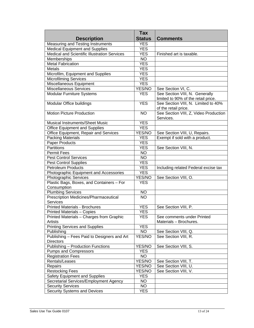|                                              | <b>Tax</b>      |                                       |
|----------------------------------------------|-----------------|---------------------------------------|
| <b>Description</b>                           | <b>Status</b>   | <b>Comments</b>                       |
| Measuring and Testing Instruments            | <b>YES</b>      |                                       |
| <b>Medical Equipment and Supplies</b>        | <b>YES</b>      |                                       |
| Medical and Scientific Illustration Services | <b>YES</b>      | Finished art is taxable.              |
| Memberships                                  | $\overline{NO}$ |                                       |
| <b>Metal Fabrication</b>                     | <b>YES</b>      |                                       |
| Metals                                       | <b>YES</b>      |                                       |
| Microfilm, Equipment and Supplies            | <b>YES</b>      |                                       |
| <b>Microfilming Services</b>                 | <b>YES</b>      |                                       |
| Miscellaneous Equipment                      | <b>YES</b>      |                                       |
| Miscellaneous Services                       | YES/NO          | See Section VI, C.                    |
| <b>Modular Furniture Systems</b>             | <b>YES</b>      | See Section VIII, N. Generally        |
|                                              |                 | limited to 90% of the retail price.   |
| Modular Office buildings                     | <b>YES</b>      | See Section VIII, N. Limited to 40%   |
|                                              |                 | of the retail price.                  |
| <b>Motion Picture Production</b>             | <b>NO</b>       | See Section VIII, Z, Video Production |
|                                              |                 | Services.                             |
| Musical Instruments/Sheet Music              | <b>YES</b>      |                                       |
| <b>Office Equipment and Supplies</b>         | <b>YES</b>      |                                       |
| Office Equipment, Repair and Services        | YES/NO          | See Section VIII, U, Repairs.         |
| <b>Packing Materials</b>                     | <b>YES</b>      | Exempt if sold with a product.        |
| Paper Products                               | <b>YES</b>      |                                       |
| Partitions                                   | <b>YES</b>      | See Section VIII, N.                  |
| <b>Permit Fees</b>                           | <b>NO</b>       |                                       |
| <b>Pest Control Services</b>                 | <b>NO</b>       |                                       |
| <b>Pest Control Supplies</b>                 | <b>YES</b>      |                                       |
| <b>Petroleum Products</b>                    | <b>YES</b>      | Including related Federal excise tax  |
| Photographic Equipment and Accessories       | <b>YES</b>      |                                       |
| <b>Photographic Services</b>                 | YES/NO          | See Section VIII, O.                  |
| Plastic Bags, Boxes, and Containers - For    | <b>YES</b>      |                                       |
| Consumption                                  |                 |                                       |
| <b>Plumbing Services</b>                     | <b>NO</b>       |                                       |
| Prescription Medicines/Pharmaceutical        | $\overline{NO}$ |                                       |
| <b>Services</b>                              |                 |                                       |
| <b>Printed Materials - Brochures</b>         | <b>YES</b>      | See Section VIII, P.                  |
| <b>Printed Materials - Copies</b>            | <b>YES</b>      |                                       |
| Printed Materials - Charges from Graphic     | YES             | See comments under Printed            |
| Artists                                      |                 | Materials - Brochures.                |
| <b>Printing Services and Supplies</b>        | <b>YES</b>      |                                       |
| Publishing                                   | <b>NO</b>       | See Section VIII, Q.                  |
| Publishing - Fees Paid to Designers and Art  | YES/NO          | See Section VIII, R.                  |
| <b>Directors</b>                             |                 |                                       |
| Publishing - Production Functions            | YES/NO          | See Section VIII, S.                  |
| Pumps and Compressors                        | <b>YES</b>      |                                       |
| <b>Registration Fees</b>                     | NO.             |                                       |
| Rentals/Leases                               | YES/NO          | See Section VIII, T.                  |
| Repairs                                      | YES/NO          | See Section VIII, U.                  |
| <b>Restocking Fees</b>                       | YES/NO          | See Section VIII, V.                  |
| Safety Equipment and Supplies                | <b>YES</b>      |                                       |
| Secretarial Services/Employment Agency       | NO.             |                                       |
| <b>Security Services</b>                     | NO.             |                                       |
| Security Systems and Devices                 | <b>YES</b>      |                                       |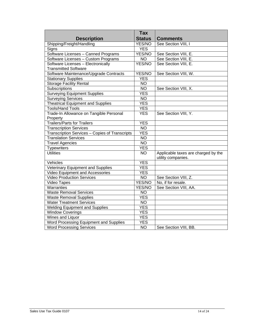|                                                | <b>Tax</b>       |                                                           |
|------------------------------------------------|------------------|-----------------------------------------------------------|
| <b>Description</b>                             | <b>Status</b>    | <b>Comments</b>                                           |
| Shipping/Freight/Handling                      | YES/NO           | See Section VIII, I                                       |
| Signs                                          | <b>YES</b>       |                                                           |
| Software Licenses - Canned Programs            | YES/NO           | See Section VIII, E.                                      |
| Software Licenses - Custom Programs            | <b>NO</b>        | See Section VIII, E.                                      |
| Software Licenses - Electronically             | YES/NO           | See Section VIII, E.                                      |
| <b>Transmitted Software</b>                    |                  |                                                           |
| Software Maintenance/Upgrade Contracts         | YES/NO           | See Section VIII, W.                                      |
| <b>Stationary Supplies</b>                     | <b>YES</b>       |                                                           |
| <b>Storage Facility Rental</b>                 | <b>NO</b>        |                                                           |
| Subscriptions                                  | <b>NO</b>        | See Section VIII, X.                                      |
| <b>Surveying Equipment Supplies</b>            | <b>YES</b>       |                                                           |
| <b>Surveying Services</b>                      | <b>NO</b>        |                                                           |
| <b>Theatrical Equipment and Supplies</b>       | <b>YES</b>       |                                                           |
| <b>Tools/Hand Tools</b>                        | <b>YES</b>       |                                                           |
| Trade-In Allowance on Tangible Personal        | <b>YES</b>       | See Section VIII, Y.                                      |
| Property                                       |                  |                                                           |
| <b>Trailers/Parts for Trailers</b>             | <b>YES</b>       |                                                           |
| <b>Transcription Services</b>                  | $\overline{NO}$  |                                                           |
| Transcription Services - Copies of Transcripts | <b>YES</b>       |                                                           |
| <b>Translation Services</b>                    | <b>NO</b>        |                                                           |
| <b>Travel Agencies</b>                         | $\overline{NO}$  |                                                           |
| <b>Typewriters</b>                             | $\overline{YES}$ |                                                           |
| <b>Utilities</b>                               | <b>NO</b>        | Applicable taxes are charged by the<br>utility companies. |
| Vehicles                                       | <b>YES</b>       |                                                           |
| Veterinary Equipment and Supplies              | <b>YES</b>       |                                                           |
| Video Equipment and Accessories                | <b>YES</b>       |                                                           |
| <b>Video Production Services</b>               | <b>NO</b>        | See Section VIII, Z.                                      |
| Video Tapes                                    | YES/NO           | No, if for resale.                                        |
| Warranties                                     | <b>YES/NO</b>    | See Section VIII, AA.                                     |
| <b>Waste Removal Services</b>                  | <b>NO</b>        |                                                           |
| <b>Waste Removal Supplies</b>                  | <b>YES</b>       |                                                           |
| <b>Water Treatment Services</b>                | $\overline{NO}$  |                                                           |
| <b>Welding Equipment and Supplies</b>          | <b>YES</b>       |                                                           |
| Window Coverings                               | <b>YES</b>       |                                                           |
| Wines and Liquor                               | <b>YES</b>       |                                                           |
| Word Processing Equipment and Supplies         | <b>YES</b>       |                                                           |
| <b>Word Processing Services</b>                | $\overline{NO}$  | See Section VIII, BB.                                     |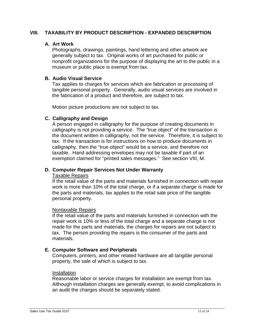## **VIII. TAXABILITY BY PRODUCT DESCRIPTION - EXPANDED DESCRIPTION**

## **A. Art Work**

Photographs, drawings, paintings, hand lettering and other artwork are generally subject to tax. Original works of art purchased for public or nonprofit organizations for the purpose of displaying the art to the public in a museum or public place is exempt from tax.

#### **B. Audio Visual Service**

Tax applies to charges for services which are fabrication or processing of tangible personal property. Generally, audio visual services are involved in the fabrication of a product and therefore, are subject to tax.

Motion picture productions are not subject to tax.

#### **C. Calligraphy and Design**

A person engaged in calligraphy for the purpose of creating documents in calligraphy is not providing a service. The "true object" of the transaction is the document written in calligraphy, not the service. Therefore, it is subject to tax. If the transaction is for instructions on how to produce documents in calligraphy, then the "true object" would be a service, and therefore not taxable. Hand addressing envelopes may not be taxable if part of an exemption claimed for "printed sales messages." See section VIII, M.

#### **D. Computer Repair Services Not Under Warranty**

#### Taxable Repairs

If the retail value of the parts and materials furnished in connection with repair work is more than 10% of the total charge, or if a separate charge is made for the parts and materials, tax applies to the retail sale price of the tangible personal property.

#### Nontaxable Repairs

If the retail value of the parts and materials furnished in connection with the repair work is 10% or less of the total charge and a separate charge is not made for the parts and materials, the charges for repairs are not subject to tax. The person providing the repairs is the consumer of the parts and materials.

#### **E. Computer Software and Peripherals**

Computers, printers, and other related hardware are all tangible personal property, the sale of which is subject to tax.

#### Installation

Reasonable labor or service charges for installation are exempt from tax. Although installation charges are generally exempt, to avoid complications in an audit the charges should be separately stated.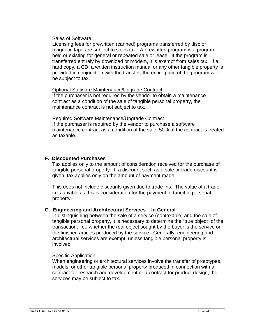#### Sales of Software

Licensing fees for prewritten (canned) programs transferred by disc or magnetic tape are subject to sales tax. A prewritten program is a program held or existing for general or repeated sale or lease. If the program is transferred entirely by download or modem, it is exempt from sales tax. If a hard copy, a CD, a written instruction manual or any other tangible property is provided in conjunction with the transfer, the entire price of the program will be subject to tax.

#### Optional Software Maintenance/Upgrade Contract

If the purchaser is not required by the vendor to obtain a maintenance contract as a condition of the sale of tangible personal property, the maintenance contract is not subject to tax.

#### Required Software Maintenance/Upgrade Contract

If the purchaser is required by the vendor to purchase a software maintenance contract as a condition of the sale, 50% of the contract is treated as taxable.

#### **F. Discounted Purchases**

Tax applies only to the amount of consideration received for the purchase of tangible personal property. If a discount such as a sale or trade discount is given, tax applies only on the amount of payment made.

This does not include discounts given due to trade-ins. The value of a tradein is taxable as this is consideration for the payment of tangible personal property.

#### **G. Engineering and Architectural Services – In General**

In distinguishing between the sale of a service (nontaxable) and the sale of tangible personal property, it is necessary to determine the "true object" of the transaction, i.e., whether the real object sought by the buyer is the service or the finished articles produced by the service. Generally, engineering and architectural services are exempt, unless tangible personal property is involved.

#### Specific Application

When engineering or architectural services involve the transfer of prototypes, models, or other tangible personal property produced in connection with a contract for research and development or a contract for product design, the services may be subject to tax.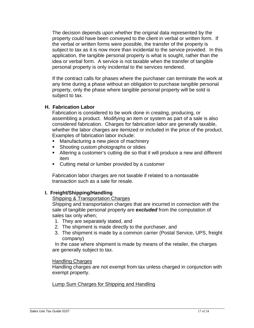The decision depends upon whether the original data represented by the property could have been conveyed to the client in verbal or written form. If the verbal or written forms were possible, the transfer of the property is subject to tax as it is now more than incidental to the service provided. In this application, the tangible personal property is what is sought, rather than the idea or verbal form. A service is not taxable when the transfer of tangible personal property is only incidental to the services rendered.

If the contract calls for phases where the purchaser can terminate the work at any time during a phase without an obligation to purchase tangible personal property, only the phase where tangible personal property will be sold is subject to tax.

#### **H. Fabrication Labor**

Fabrication is considered to be work done in creating, producing, or assembling a product. Modifying an item or system as part of a sale is also considered fabrication. Charges for fabrication labor are generally taxable, whether the labor charges are itemized or included in the price of the product. Examples of fabrication labor include:

- Manufacturing a new piece of machinery
- Shooting custom photographs or slides
- Altering a customer's cutting die so that it will produce a new and different item
- **Cutting metal or lumber provided by a customer**

Fabrication labor charges are not taxable if related to a nontaxable transaction such as a sale for resale.

#### **I. Freight/Shipping/Handling**

#### Shipping & Transportation Charges

Shipping and transportation charges that are incurred in connection with the sale of tangible personal property are *excluded* from the computation of sales tax only when;

- 1. They are separately stated, and
- 2. The shipment is made directly to the purchaser, and
- 3. The shipment is made by a common carrier (Postal Service, UPS, freight company)

 In the case where shipment is made by means of the retailer, the charges are generally subject to tax.

#### Handling Charges

Handling charges are not exempt from tax unless charged in conjunction with exempt property.

Lump Sum Charges for Shipping and Handling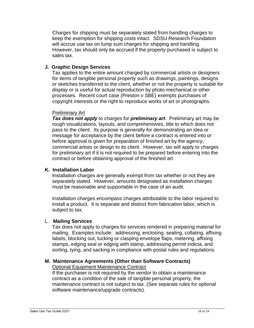Charges for shipping must be separately stated from handling charges to keep the exemption for shipping costs intact. SDSU Research Foundation will accrue use tax on lump sum charges for shipping and handling. However, tax should only be accrued if the property purchased is subject to sales tax.

## **J. Graphic Design Services**

Tax applies to the entire amount charged by commercial artists or designers for items of tangible personal property such as drawings, paintings, designs or sketches transferred to the client, whether or not the property is suitable for display or is useful for actual reproduction by photo-mechanical or other processes. Recent court case (Preston v SBE) exempts purchases of copyright interests or the right to reproduce works of art or photographs.

## Preliminary Art

*Tax does not apply* to charges for *preliminary art*. Preliminary art may be rough visualizations, layouts, and comprehensives, title to which does not pass to the client. Its purpose is generally for demonstrating an idea or message for acceptance by the client before a contract is entered into or before approval is given for preparation of finished art by the agency, commercial artists or design to its client. However, tax will apply to charges for preliminary art if it is not required to be prepared before entering into the contract or before obtaining approval of the finished art.

#### **K. Installation Labor**

Installation charges are generally exempt from tax whether or not they are separately stated. However, amounts designated as installation charges must be reasonable and supportable in the case of an audit.

Installation charges encompass charges attributable to the labor required to install a product. It is separate and distinct from fabrication labor, which is subject to tax.

#### L. **Mailing Services**

Tax does not apply to charges for services rendered in preparing material for mailing. Examples include: addressing, enclosing, sealing, collating, affixing labels, blocking out, tucking or clasping envelope flaps, metering, affixing stamps, edging seal or edging with stamp, addressing permit indicia, and sorting, tying, and sacking in compliance with postal rules and regulations.

#### **M. Maintenance Agreements (Other than Software Contracts)**  Optional Equipment Maintenance Contract

If the purchaser is not required by the vendor to obtain a maintenance contract as a condition of the sale of tangible personal property, the maintenance contract is not subject to tax. (See separate rules for optional software maintenance/upgrade contracts).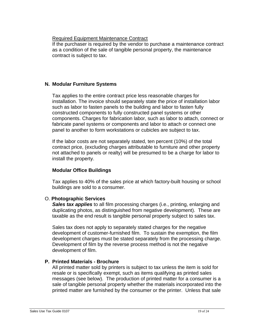Required Equipment Maintenance Contract

If the purchaser is required by the vendor to purchase a maintenance contract as a condition of the sale of tangible personal property, the maintenance contract is subject to tax.

# **N. Modular Furniture Systems**

Tax applies to the entire contract price less reasonable charges for installation. The invoice should separately state the price of installation labor such as labor to fasten panels to the building and labor to fasten fully constructed components to fully constructed panel systems or other components. Charges for fabrication labor, such as labor to attach, connect or fabricate panel systems or components and labor to attach or connect one panel to another to form workstations or cubicles are subject to tax.

If the labor costs are not separately stated, ten percent (10%) of the total contract price, (excluding charges attributable to furniture and other property not attached to panels or realty) will be presumed to be a charge for labor to install the property.

# **Modular Office Buildings**

Tax applies to 40% of the sales price at which factory-built housing or school buildings are sold to a consumer.

## O. **Photographic Services**

**Sales tax applies** to all film processing charges (i.e., printing, enlarging and duplicating photos, as distinguished from negative development). These are taxable as the end result is tangible personal property subject to sales tax.

Sales tax does not apply to separately stated charges for the negative development of customer-furnished film. To sustain the exemption, the film development charges must be stated separately from the processing charge. Development of film by the reverse process method is not the negative development of film.

# **P. Printed Materials - Brochure**

All printed matter sold by printers is subject to tax unless the item is sold for resale or is specifically exempt, such as items qualifying as printed sales messages (see below). The production of printed matter for a consumer is a sale of tangible personal property whether the materials incorporated into the printed matter are furnished by the consumer or the printer. Unless that sale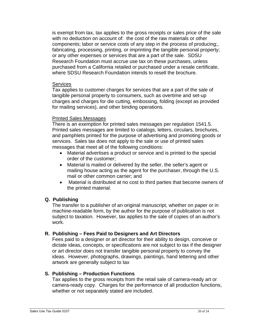is exempt from tax, tax applies to the gross receipts or sales price of the sale with no deduction on account of: the cost of the raw materials or other components; labor or service costs of any step in the process of producing;, fabricating, processing, printing, or imprinting the tangible personal property; or any other expenses or services that are a part of the sale. SDSU Research Foundation must accrue use tax on these purchases, unless purchased from a California retailed or purchased under a resale certificate, where SDSU Research Foundation intends to resell the brochure.

#### **Services**

Tax applies to customer charges for services that are a part of the sale of tangible personal property to consumers, such as overtime and set-up charges and charges for die cutting, embossing, folding (except as provided for mailing services), and other binding operations.

#### Printed Sales Messages

There is an exemption for printed sales messages per regulation 1541.5. Printed sales messages are limited to catalogs, letters, circulars, brochures, and pamphlets printed for the purpose of advertising and promoting goods or services. Sales tax does not apply to the sale or use of printed sales messages that meet all of the following conditions:

- Material advertises a product or service and is printed to the special order of the customer;
- Material is mailed or delivered by the seller, the seller's agent or mailing house acting as the agent for the purchaser, through the U.S. mail or other common carrier; and
- Material is distributed at no cost to third parties that become owners of the printed material.

#### **Q. Publishing**

The transfer to a publisher of an original manuscript, whether on paper or in machine-readable form, by the author for the purpose of publication is not subject to taxation. However, tax applies to the sale of copies of an author's work.

#### **R. Publishing – Fees Paid to Designers and Art Directors**

Fees paid to a designer or art director for their ability to design, conceive or dictate ideas, concepts, or specifications are not subject to tax if the designer or art director does not transfer tangible personal property to convey the ideas. However, photographs, drawings, paintings, hand lettering and other artwork are generally subject to tax

#### **S. Publishing – Production Functions**

Tax applies to the gross receipts from the retail sale of camera-ready art or camera-ready copy. Charges for the performance of all production functions, whether or not separately stated are included.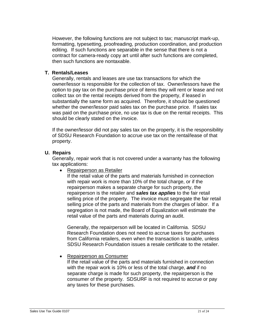However, the following functions are not subject to tax; manuscript mark-up, formatting, typesetting, proofreading, production coordination, and production editing. If such functions are separable in the sense that there is not a contract for camera-ready copy art until after such functions are completed, then such functions are nontaxable.

#### **T. Rentals/Leases**

Generally, rentals and leases are use tax transactions for which the owner/lessor is responsible for the collection of tax. Owner/lessors have the option to pay tax on the purchase price of items they will rent or lease and not collect tax on the rental receipts derived from the property, if leased in substantially the same form as acquired. Therefore, it should be questioned whether the owner/lessor paid sales tax on the purchase price. If sales tax was paid on the purchase price, no use tax is due on the rental receipts. This should be clearly stated on the invoice.

If the owner/lessor did not pay sales tax on the property, it is the responsibility of SDSU Research Foundation to accrue use tax on the rental/lease of that property.

## **U. Repairs**

Generally, repair work that is not covered under a warranty has the following tax applications:

• Repairperson as Retailer

If the retail value of the parts and materials furnished in connection with repair work is more than 10% of the total charge, or if the repairperson makes a separate charge for such property, the repairperson is the retailer and *sales tax applies* to the fair retail selling price of the property. The invoice must segregate the fair retail selling price of the parts and materials from the charges of labor. If a segregation is not made, the Board of Equalization will estimate the retail value of the parts and materials during an audit.

Generally, the repairperson will be located in California. SDSU Research Foundation does not need to accrue taxes for purchases from California retailers, even when the transaction is taxable, unless SDSU Research Foundation issues a resale certificate to the retailer.

## • Repairperson as Consumer

If the retail value of the parts and materials furnished in connection with the repair work is 10% or less of the total charge, *and* if no separate charge is made for such property, the repairperson is the consumer of the property. SDSURF is not required to accrue or pay any taxes for these purchases.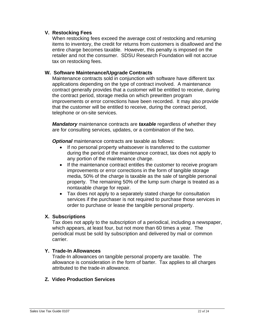#### **V. Restocking Fees**

When restocking fees exceed the average cost of restocking and returning items to inventory, the credit for returns from customers is disallowed and the entire charge becomes taxable. However, this penalty is imposed on the retailer and not the consumer. SDSU Research Foundation will not accrue tax on restocking fees.

## **W. Software Maintenance/Upgrade Contracts**

Maintenance contracts sold in conjunction with software have different tax applications depending on the type of contract involved. A maintenance contract generally provides that a customer will be entitled to receive, during the contract period, storage media on which prewritten program improvements or error corrections have been recorded. It may also provide that the customer will be entitled to receive, during the contract period, telephone or on-site services.

*Mandatory* maintenance contracts are *taxable* regardless of whether they are for consulting services, updates, or a combination of the two.

*Optional* maintenance contracts are taxable as follows:

- If no personal property whatsoever is transferred to the customer during the period of the maintenance contract, tax does not apply to any portion of the maintenance charge.
- If the maintenance contract entitles the customer to receive program improvements or error corrections in the form of tangible storage media, 50% of the charge is taxable as the sale of tangible personal property. The remaining 50% of the lump sum charge is treated as a nontaxable charge for repair.
- Tax does not apply to a separately stated charge for consultation services if the purchaser is not required to purchase those services in order to purchase or lease the tangible personal property.

#### **X. Subscriptions**

Tax does not apply to the subscription of a periodical, including a newspaper, which appears, at least four, but not more than 60 times a year. The periodical must be sold by subscription and delivered by mail or common carrier.

#### **Y. Trade-In Allowances**

Trade-In allowances on tangible personal property are taxable. The allowance is consideration in the form of barter. Tax applies to all charges attributed to the trade-in allowance.

#### **Z. Video Production Services**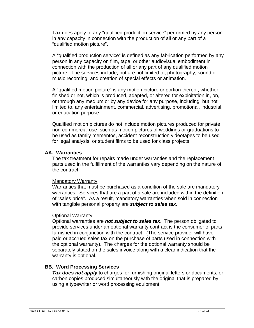Tax does apply to any "qualified production service" performed by any person in any capacity in connection with the production of all or any part of a "qualified motion picture".

A "qualified production service" is defined as any fabrication performed by any person in any capacity on film, tape, or other audiovisual embodiment in connection with the production of all or any part of any qualified motion picture. The services include, but are not limited to, photography, sound or music recording, and creation of special effects or animation.

A "qualified motion picture" is any motion picture or portion thereof, whether finished or not, which is produced, adapted, or altered for exploitation in, on, or through any medium or by any device for any purpose, including, but not limited to, any entertainment, commercial, advertising, promotional, industrial, or education purpose.

Qualified motion pictures do not include motion pictures produced for private non-commercial use, such as motion pictures of weddings or graduations to be used as family mementos, accident reconstruction videotapes to be used for legal analysis, or student films to be used for class projects.

#### **AA. Warranties**

The tax treatment for repairs made under warranties and the replacement parts used in the fulfillment of the warranties vary depending on the nature of the contract.

#### Mandatory Warranty

Warranties that must be purchased as a condition of the sale are mandatory warranties. Services that are a part of a sale are included within the definition of "sales price". As a result, mandatory warranties when sold in connection with tangible personal property are *subject to sales tax*.

#### Optional Warranty

Optional warranties are *not subject to sales tax*. The person obligated to provide services under an optional warranty contract is the consumer of parts furnished in conjunction with the contract. (The service provider will have paid or accrued sales tax on the purchase of parts used in connection with the optional warranty). The charges for the optional warranty should be separately stated on the sales invoice along with a clear indication that the warranty is optional.

#### **BB. Word Processing Services**

**Tax does not apply** to charges for furnishing original letters or documents, or carbon copies produced simultaneously with the original that is prepared by using a typewriter or word processing equipment.